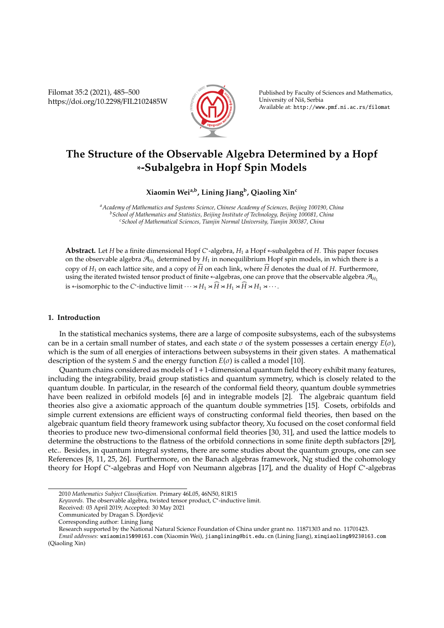Filomat 35:2 (2021), 485–500 https://doi.org/10.2298/FIL2102485W



Published by Faculty of Sciences and Mathematics, University of Nis, Serbia ˇ Available at: http://www.pmf.ni.ac.rs/filomat

# **The Structure of the Observable Algebra Determined by a Hopf** ∗**-Subalgebra in Hopf Spin Models**

## **Xiaomin Weia,b, Lining Jiang<sup>b</sup> , Qiaoling Xin<sup>c</sup>**

*<sup>a</sup>Academy of Mathematics and Systems Science, Chinese Academy of Sciences, Beijing 100190, China <sup>b</sup>School of Mathematics and Statistics, Beijing Institute of Technology, Beijing 100081, China <sup>c</sup>School of Mathematical Sciences, Tianjin Normal University, Tianjin 300387, China*

Abstract. Let *H* be a finite dimensional Hopf *C*<sup>\*</sup>-algebra, *H*<sub>1</sub> a Hopf ∗-subalgebra of *H*. This paper focuses on the observable algebra  $\mathcal{A}_{H_1}$  determined by  $H_1$  in nonequilibrium Hopf spin models, in which there is a copy of  $H_1$  on each lattice site, and a copy of  $\widehat{H}$  on each link, where  $\widehat{H}$  denotes the dual of  $H$ . Furthermore, using the iterated twisted tensor product of finite <sup>∗</sup>-algebras, one can prove that the observable algebra <sup>A</sup>*<sup>H</sup>*<sup>1</sup> is ∗-isomorphic to the *C*\*-inductive limit  $\cdots \rtimes H_1 \rtimes \widehat{H} \rtimes H_1 \rtimes \widehat{H} \rtimes H_1 \rtimes \cdots$ .

### **1. Introduction**

In the statistical mechanics systems, there are a large of composite subsystems, each of the subsystems can be in a certain small number of states, and each state  $\sigma$  of the system possesses a certain energy  $E(\sigma)$ , which is the sum of all energies of interactions between subsystems in their given states. A mathematical description of the system *S* and the energy function *E*(σ) is called a model [10].

Quantum chains considered as models of  $1+1$ -dimensional quantum field theory exhibit many features, including the integrability, braid group statistics and quantum symmetry, which is closely related to the quantum double. In particular, in the research of the conformal field theory, quantum double symmetries have been realized in orbifold models [6] and in integrable models [2]. The algebraic quantum field theories also give a axiomatic approach of the quantum double symmetries [15]. Cosets, orbifolds and simple current extensions are efficient ways of constructing conformal field theories, then based on the algebraic quantum field theory framework using subfactor theory, Xu focused on the coset conformal field theories to produce new two-dimensional conformal field theories [30, 31], and used the lattice models to determine the obstructions to the flatness of the orbifold connections in some finite depth subfactors [29], etc.. Besides, in quantum integral systems, there are some studies about the quantum groups, one can see References [8, 11, 25, 26]. Furthermore, on the Banach algebras framework, Ng studied the cohomology theory for Hopf *C*<sup>\*</sup>-algebras and Hopf von Neumann algebras [17], and the duality of Hopf *C*<sup>\*</sup>-algebras

<sup>2010</sup> *Mathematics Subject Classification*. Primary 46L05, 46N50, 81R15

*Keywords*. The observable algebra, twisted tensor product, *C* ∗ -inductive limit.

Received: 03 April 2019; Accepted: 30 May 2021

Communicated by Dragan S. Djordjevic´

Corresponding author: Lining Jiang

Research supported by the National Natural Science Foundation of China under grant no. 11871303 and no. 11701423.

*Email addresses:* wxiaomin1509@163.com (Xiaomin Wei), jianglining@bit.edu.cn (Lining Jiang), xinqiaoling0923@163.com (Qiaoling Xin)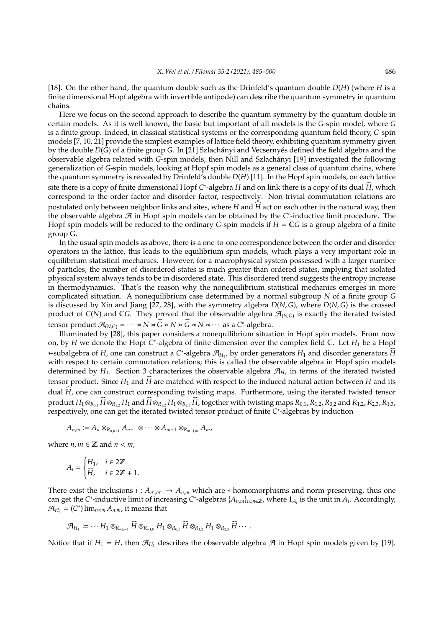[18]. On the other hand, the quantum double such as the Drinfeld's quantum double *D*(*H*) (where *H* is a finite dimensional Hopf algebra with invertible antipode) can describe the quantum symmetry in quantum chains.

Here we focus on the second approach to describe the quantum symmetry by the quantum double in certain models. As it is well known, the basic but important of all models is the *G*-spin model, where *G* is a finite group. Indeed, in classical statistical systems or the corresponding quantum field theory, *G*-spin models [7, 10, 21] provide the simplest examples of lattice field theory, exhibiting quantum symmetry given by the double *D*(*G*) of a finite group *G*. In [21] Szlachányi and Vecserny és defined the field algebra and the observable algebra related with *G*-spin models, then Nill and Szlachanyi [19] investigated the following ´ generalization of *G*-spin models, looking at Hopf spin models as a general class of quantum chains, where the quantum symmetry is revealed by Drinfeld's double *D*(*H*) [11]. In the Hopf spin models, on each lattice site there is a copy of finite dimensional Hopf *C*<sup>\*</sup>-algebra *H* and on link there is a copy of its dual  $\widehat{H}$ , which correspond to the order factor and disorder factor, respectively. Non-trivial commutation relations are postulated only between neighbor links and sites, where *H* and *H* act on each other in the natural way, then the observable algebra A in Hopf spin models can be obtained by the *C* ∗ -inductive limit procedure. The Hopf spin models will be reduced to the ordinary *G*-spin models if  $H = \mathbb{C}G$  is a group algebra of a finite group G.

In the usual spin models as above, there is a one-to-one correspondence between the order and disorder operators in the lattice, this leads to the equilibrium spin models, which plays a very important role in equilibrium statistical mechanics. However, for a macrophysical system possessed with a larger number of particles, the number of disordered states is much greater than ordered states, implying that isolated physical system always tends to be in disordered state. This disordered trend suggests the entropy increase in thermodynamics. That's the reason why the nonequilibrium statistical mechanics emerges in more complicated situation. A nonequilibrium case determined by a normal subgroup *N* of a finite group *G* is discussed by Xin and Jiang [27, 28], with the symmetry algebra *D*(*N*, *G*), where *D*(*N*, *G*) is the crossed product of  $C(N)$  and  $\mathbb{C}G$ . They proved that the observable algebra  $\mathcal{A}_{(N,G)}$  is exactly the iterated twisted tensor product  $\mathcal{A}_{(N,G)} = \cdots \times N \times \widehat{G} \times N \times \widehat{G} \times N \times \cdots$  as a *C*<sup>\*</sup>-algebra.

Illuminated by [28], this paper considers a nonequilibrium situation in Hopf spin models. From now on, by *H* we denote the Hopf *C* ∗ -algebra of finite dimension over the complex field C. Let *H*<sup>1</sup> be a Hopf ∗-subalgebra of *H*, one can construct a *C* ∗ -algebra A*H*<sup>1</sup> , by order generators *H*<sup>1</sup> and disorder generators *H*b with respect to certain commutation relations; this is called the observable algebra in Hopf spin models determined by  $H_1$ . Section 3 characterizes the observable algebra  $\mathcal{A}_{H_1}$  in terms of the iterated twisted tensor product. Since  $H_1$  and  $\tilde{H}$  are matched with respect to the induced natural action between  $H$  and its dual  $\hat{H}$ , one can construct corresponding twisting maps. Furthermore, using the iterated twisted tensor product  $H_1 \otimes_{R_{0,1}} H \otimes_{R_{1,2}} H_1$  and  $H \otimes_{R_{1,2}} H_1 \otimes_{R_{2,3}} H$ , together with twisting maps  $R_{0,1}$ ,  $R_{1,2}$ ,  $R_{0,2}$  and  $R_{1,2}$ ,  $R_{2,3}$ ,  $R_{1,3}$ , respectively, one can get the iterated twisted tensor product of finite *C* ∗ -algebras by induction

$$
A_{n,m} := A_n \otimes_{R_{n,n+1}} A_{n+1} \otimes \cdots \otimes A_{m-1} \otimes_{R_{m-1,m}} A_m,
$$

where  $n, m \in \mathbb{Z}$  and  $n < m$ ,

$$
A_i = \begin{cases} H_1, & i \in 2\mathbb{Z} \\ \widehat{H}, & i \in 2\mathbb{Z} + 1. \end{cases}
$$

There exist the inclusions  $i : A_{n',m'} \to A_{n,m}$  which are  $*$ -homomorphisms and norm-preserving, thus one can get the *C*<sup>\*</sup>-inductive limit of increasing *C*<sup>\*</sup>-algebras { $A_{n,m}$ }<sub>*n*,*m*∈Z<sub>*r*</sub>, where 1<sub>A<sub>i</sub></sub> is the unit in  $A_i$ . Accordingly,</sub>  $\mathcal{A}_{H_1}$  = (*C*<sup>\*</sup>) lim<sub>*n* < *m*</sub> *A*<sub>*n*,*m*</sub>, it means that

$$
\mathcal{A}_{H_1} \coloneqq \cdots H_1 \otimes_{R_{-2,-1}} \widehat{H} \otimes_{R_{-1,0}} H_1 \otimes_{R_{0,1}} \widehat{H} \otimes_{R_{1,2}} H_1 \otimes_{R_{2,3}} \widehat{H} \cdots
$$

Notice that if  $H_1 = H$ , then  $\mathcal{A}_{H_1}$  describes the observable algebra  $\mathcal A$  in Hopf spin models given by [19].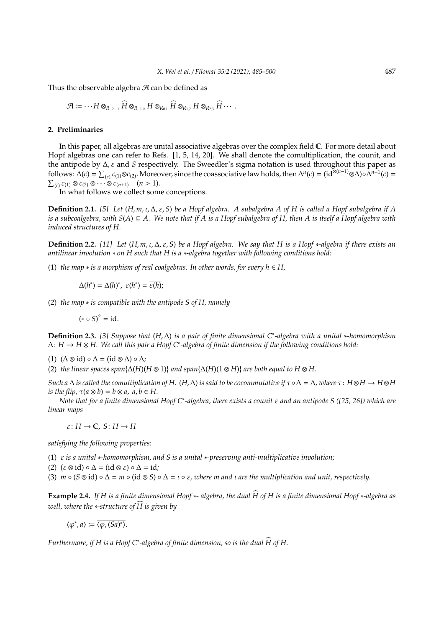Thus the observable algebra  $\mathcal A$  can be defined as

$$
\mathcal{A} \coloneqq \cdots H \otimes_{R_{-2,-1}} \widehat{H} \otimes_{R_{-1,0}} H \otimes_{R_{0,1}} \widehat{H} \otimes_{R_{1,2}} H \otimes_{R_{2,3}} \widehat{H} \cdots
$$

#### **2. Preliminaries**

In this paper, all algebras are unital associative algebras over the complex field C. For more detail about Hopf algebras one can refer to Refs. [1, 5, 14, 20]. We shall denote the comultiplication, the counit, and the antipode by ∆, ε and *S* respectively. The Sweedler's sigma notation is used throughout this paper as follows:  $\Delta(c) = \sum_{(c)} c_{(1)} \otimes c_{(2)}$ . Moreover, since the coassociative law holds, then  $\Delta^{n}(c) = (\mathrm{id}^{\otimes (n-1)} \otimes \Delta) \circ \Delta^{n-1}(c) =$  $\sum_{(c)} c_{(1)} \otimes c_{(2)} \otimes \cdots \otimes c_{(n+1)} \quad (n > 1).$ 

In what follows we collect some conceptions.

**Definition 2.1.** *[5] Let* (*H*, *m*, ι,∆, ε, *S*) *be a Hopf algebra. A subalgebra A of H is called a Hopf subalgebra if A is a subcoalgebra, with S*(*A*) ⊆ *A. We note that if A is a Hopf subalgebra of H, then A is itself a Hopf algebra with induced structures of H.*

**Definition 2.2.** [11] Let  $(H, m, \iota, \Delta, \varepsilon, S)$  be a Hopf algebra. We say that H is a Hopf \*-algebra if there exists an *antilinear involution* ∗ *on H such that H is a* ∗*-algebra together with following conditions hold:*

(1) *the map* ∗ *is a morphism of real coalgebras. In other words, for every h* ∈ *H,*

$$
\Delta(h^*) = \Delta(h)^*, \ \varepsilon(h^*) = \overline{\varepsilon(h)};
$$

(2) *the map* ∗ *is compatible with the antipode S of H, namely*

$$
(* \circ S)^2 = \mathrm{id}.
$$

**Definition 2.3.** *[3] Suppose that* (*H*,∆) *is a pair of finite dimensional C*<sup>∗</sup> *-algebra with a unital* ∗*-homomorphism* ∆: *H* → *H* ⊗ *H. We call this pair a Hopf C*<sup>∗</sup> *-algebra of finite dimension if the following conditions hold:*

(1) (∆ ⊗ id) ◦ ∆ = (id ⊗ ∆) ◦ ∆*;*

(2) *the linear spaces span*{ $\Delta(H)(H \otimes 1)$ } *and span*{ $\Delta(H)(1 \otimes H)$ } *are both equal to*  $H \otimes H$ .

*Such a*  $\Delta$  *is called the comultiplication of H.* (*H*,  $\Delta$ ) *is said to be cocommutative if*  $τ ∘ Δ = Δ$ *, where*  $τ$ :  $H ⊗ H ⊗ H ⊗ H ⊗ H$ *is the flip,*  $\tau(a \otimes b) = b \otimes a$ ,  $a, b \in H$ .

*Note that for a finite dimensional Hopf C*<sup>∗</sup> *-algebra, there exists a counit* ε *and an antipode S ([25, 26]) which are linear maps*

 $\varepsilon: H \to \mathbb{C}, S: H \to H$ 

*satisfying the following properties:*

(1) ε *is a unital* ∗*-homomorphism, and S is a unital* ∗*-preserving anti-multiplicative involution;*

(2) (ε ⊗ id) ◦ ∆ = (id ⊗ ε) ◦ ∆ = id*;*

(3)  $m \circ (S \otimes id) \circ \Delta = m \circ (id \otimes S) \circ \Delta = \iota \circ \varepsilon$ , where m and  $\iota$  are the multiplication and unit, respectively.

**Example 2.4.** *If H is a finite dimensional Hopf* <sup>∗</sup>*- algebra, the dual H of H is a finite dimensional Hopf* <sup>b</sup> <sup>∗</sup>*-algebra as well, where the* ∗-structure of  $\widehat{H}$  is given by

 $\langle \varphi^*, a \rangle \coloneqq \overline{\langle \varphi, (Sa)^* \rangle}.$ 

Furthermore, if H is a Hopf C\*-algebra of finite dimension, so is the dual  $\widehat{H}$  of H.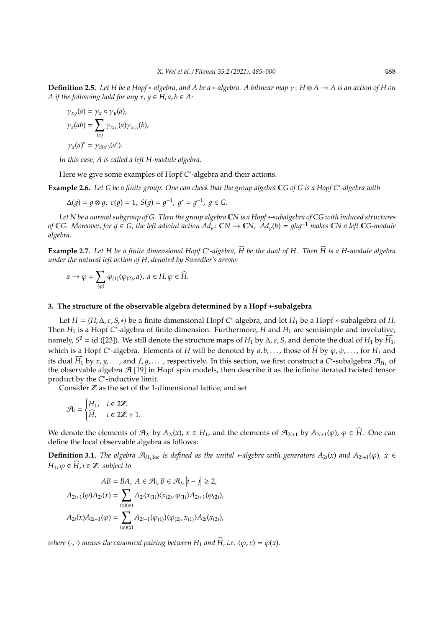**Definition 2.5.** *Let H be a Hopf* ∗*-algebra, and A be a* ∗*-algebra. A bilinear map* γ: *H* ⊗ *A* → *A is an action of H on A* if the following hold for any  $\dot{x}$ ,  $y \in H$ ,  $a, b \in A$ :

$$
\gamma_{xy}(a) = \gamma_x \circ \gamma_y(a),
$$
  
\n
$$
\gamma_x(ab) = \sum_{(x)} \gamma_{x_{(1)}}(a) \gamma_{x_{(2)}}(b),
$$
  
\n
$$
\gamma_x(a)^* = \gamma_{S(x^*)}(a^*).
$$

*In this case, A is called a left H-module algebra.*

Here we give some examples of Hopf C<sup>\*</sup>-algebra and their actions.

**Example 2.6.** *Let G be a finite group. One can check that the group algebra* C*G of G is a Hopf C*<sup>∗</sup> *-algebra with*

$$
\Delta(g) = g \otimes g, \ \varepsilon(g) = 1, \ S(g) = g^{-1}, \ g^* = g^{-1}, \ g \in G.
$$

*Let N be a normal subgroup of G. Then the group algebra* C*N is a Hopf*∗*-subalgebra of* C*G with induced structures of* C*G.* Moreover, for  $g \in G$ , the left adjoint action  $Ad_g$ : CN → CN,  $Ad_g(h) = ghg^{-1}$  makes CN a left CG-module *algebra.*

**Example 2.7.** Let *H* be a finite dimensional Hopf C<sup>∗</sup>-algebra,  $\widehat{H}$  be the dual of *H*. Then  $\widehat{H}$  is a *H-module algebra under the natural left action of H, denoted by Sweedler's arrow:*

$$
a\rightarrow \varphi=\sum_{(\varphi)}\varphi_{(1)}\langle\varphi_{(2)},a\rangle,\ a\in H,\varphi\in\widehat{H}.
$$

## **3. The structure of the observable algebra determined by a Hopf** ∗**-subalgebra**

Let  $H = (H, \Delta, \varepsilon, S, *)$  be a finite dimensional Hopf C<sup>\*</sup>-algebra, and let  $H_1$  be a Hopf \*-subalgebra of H. Then *H*<sub>1</sub> is a Hopf *C*<sup>\*</sup>-algebra of finite dimension. Furthermore, *H* and *H*<sub>1</sub> are semisimple and involutive, namely,  $S^2$  = id ([23]). We still denote the structure maps of *H*<sub>1</sub> by  $\Delta$ ,  $\varepsilon$ ,  $S$ , and denote the dual of *H*<sub>1</sub> by *H*<sub>1</sub>, which is a Hopf *C*<sup>\*</sup>-algebra. Elements of *H* will be denoted by  $a, b, \ldots$ , those of  $\widehat{H}$  by  $\varphi, \psi, \ldots$ , for  $H_1$  and its dual  $\widehat{H}_1$  by *x*, *y*, ..., and *f*, *g*, ..., respectively. In this section, we first construct a *C*<sup>\*</sup>-subalgebra  $\mathcal{A}_{H_1}$  of the observable algebra  $\mathcal{A}$  [19] in Hopf spin models, then describe it as the infinite iterated twisted tensor product by the *C* ∗ -inductive limit.

Consider  $\mathbb Z$  as the set of the 1-dimensional lattice, and set

$$
\mathcal{A}_i = \begin{cases} H_1, & i \in 2\mathbb{Z} \\ \widehat{H}, & i \in 2\mathbb{Z} + 1. \end{cases}
$$

We denote the elements of  $\mathcal{A}_{2i}$  by  $A_{2i}(x)$ ,  $x \in H_1$ , and the elements of  $\mathcal{A}_{2i+1}$  by  $A_{2i+1}(\varphi)$ ,  $\varphi \in \widehat{H}$ . One can define the local observable algebra as follows:

**Definition 3.1.** *The algebra*  $\mathcal{A}_{H_1,\text{loc}}$  *is defined as the unital* \*-algebra with generators  $A_{2i}(x)$  and  $A_{2i+1}(\varphi)$ ,  $x \in$ *H*<sub>1</sub>,  $\varphi \in \widehat{H}$ ,  $i \in \mathbb{Z}$  *subject to* 

$$
AB = BA, \ A \in \mathcal{A}_i, B \in \mathcal{A}_j, |i - j| \ge 2,
$$
  

$$
A_{2i+1}(\varphi)A_{2i}(x) = \sum_{(x)(\varphi)} A_{2i}(x_{(1)})\langle x_{(2)}, \varphi_{(1)}\rangle A_{2i+1}(\varphi_{(2)}),
$$
  

$$
A_{2i}(x)A_{2i-1}(\varphi) = \sum_{(\varphi)(x)} A_{2i-1}(\varphi_{(1)})\langle \varphi_{(2)}, x_{(1)}\rangle A_{2i}(x_{(2)}),
$$

*where*  $\langle \cdot, \cdot \rangle$  *means the canonical pairing between*  $H_1$  *and*  $\widehat{H}$ *, i.e.*  $\langle \varphi, x \rangle = \varphi(x)$ *.*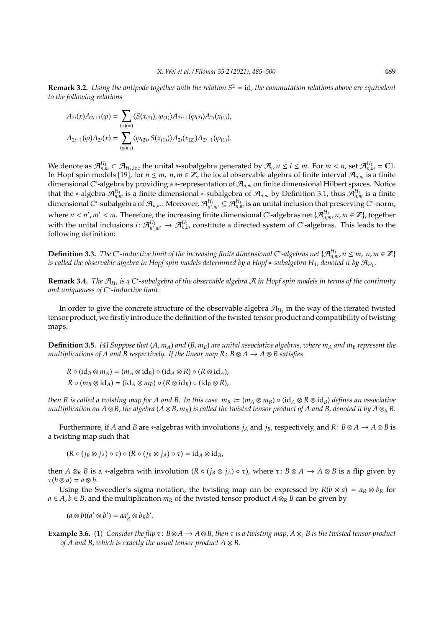**Remark 3.2.** *Using the antipode together with the relation S*<sup>2</sup> = id*, the commutation relations above are equivalent to the following relations*

$$
A_{2i}(x)A_{2i+1}(\varphi) = \sum_{(x)(\varphi)} \langle S(x_{(2)}), \varphi_{(1)} \rangle A_{2i+1}(\varphi_{(2)}) A_{2i}(x_{(1)}),
$$
  

$$
A_{2i-1}(\varphi)A_{2i}(x) = \sum_{(\varphi)(x)} \langle \varphi_{(2)}, S(x_{(1)}) \rangle A_{2i}(x_{(2)}) A_{2i-1}(\varphi_{(1)}).
$$

We denote as  $\mathcal{A}_{n,m}^{H_1} \subset \mathcal{A}_{H_1,\text{loc}}$  the unital \*-subalgebra generated by  $\mathcal{A}_i$ ,  $n \leq i \leq m$ . For  $m < n$ , set  $\mathcal{A}_{n,m}^{H_1} = \mathbb{C}1$ . In Hopf spin models [19], for *n* ≤ *m*, *n*, *m* ∈ Z, the local observable algebra of finite interval  $\mathcal{A}_{n,m}$  is a finite dimensional *C*<sup>\*</sup>-algebra by providing a ∗-representation of  $\mathcal{A}_{n,m}$  on finite dimensional Hilbert spaces. Notice that the ∗-algebra  $\mathcal{A}_{n,m}^{H_1}$  is a finite dimensional ∗-subalgebra of  $\mathcal{A}_{n,m}$  by Definition 3.1, thus  $\mathcal{A}_{n,m}^{H_1}$  is a finite dimensional *C*<sup>\*</sup>-subalgebra of  $\mathcal{A}_{n,m}$ . Moreover,  $\mathcal{A}_{n',m'}^{H_1} \subseteq \mathcal{A}_{n,m}^{H_1}$  is an unital inclusion that preserving *C*<sup>\*</sup>-norm, where  $n < n'$ ,  $m' < m$ . Therefore, the increasing finite dimensional *C*\*-algebras net { $\mathcal{A}_{n,m}^{H_1}$ ,  $n, m \in \mathbb{Z}$ }, together with the unital inclusions  $i\colon \mathcal{A}_{n',m'}^{H_1}\to \mathcal{A}_{n,m}^{H_1}$  constitute a directed system of  $C^*$ -algebras. This leads to the following definition:

**Definition 3.3.** The C<sup>\*</sup>-inductive limit of the increasing finite dimensional C\*-algebras net { $\mathcal{A}_{n,m}^{H_1}$ ,  $n \leq m$ ,  $n,m \in \mathbb{Z}$ } is called the observable algebra in Hopf spin models determined by a Hopf ∗-subalgebra H<sub>1</sub>, denoted it by  $\mathcal{A}_{H_1}.$ 

**Remark 3.4.** *The*  $\mathcal{A}_{H_1}$  is a C<sup>∗</sup>-subalgebra of the observable algebra  $\mathcal{A}$  in Hopf spin models in terms of the continuity *and uniqueness of C*<sup>∗</sup> *-inductive limit.*

In order to give the concrete structure of the observable algebra  $\mathcal{A}_{H_1}$  in the way of the iterated twisted tensor product, we firstly introduce the definition of the twisted tensor product and compatibility of twisting maps.

**Definition 3.5.** [4] Suppose that  $(A, m_A)$  and  $(B, m_B)$  are unital associative algebras, where  $m_A$  and  $m_B$  represent the *multiplications of A and B respectively. If the linear map R*: *B* ⊗ *A* → *A* ⊗ *B satisfies*

$$
R \circ (\mathrm{id}_B \otimes m_A) = (m_A \otimes \mathrm{id}_B) \circ (\mathrm{id}_A \otimes R) \circ (R \otimes \mathrm{id}_A),
$$
  

$$
R \circ (m_B \otimes \mathrm{id}_A) = (\mathrm{id}_A \otimes m_B) \circ (R \otimes \mathrm{id}_B) \circ (\mathrm{id}_B \otimes R),
$$

*then R is called a twisting map for A and B. In this case*  $m_R := (m_A \otimes m_B) \circ (id_A \otimes R \otimes id_B)$  *<i>defines an associative multiplication on A*  $\otimes$  *B, the algebra* (*A*  $\otimes$  *B, m<sub>R</sub>*) *is called the twisted tensor product of A and B, denoted it by A*  $\otimes$ <sub>*R</sub> B.*</sub>

Furthermore, if *A* and *B* are \*-algebras with involutions  $j_A$  and  $j_B$ , respectively, and  $R: B \otimes A \to A \otimes B$  is a twisting map such that

 $(R \circ (i_B \otimes i_A) \circ \tau) \circ (R \circ (i_B \otimes i_A) \circ \tau) = id_A \otimes id_B$ 

then  $A \otimes_R B$  is a \*-algebra with involution  $(R \circ (j_B \otimes j_A) \circ \tau)$ , where  $\tau : B \otimes A \to A \otimes B$  is a flip given by  $\tau(b \otimes a) = a \otimes b$ .

Using the Sweedler's sigma notation, the twisting map can be expressed by  $R(b \otimes a) = a_R \otimes b_R$  for *a* ∈ *A*, *b* ∈ *B*, and the multiplication  $m_R$  of the twisted tensor product *A*  $\otimes_R$  *B* can be given by

 $(a \otimes b)(a' \otimes b') = aa'_R \otimes b_Rb'.$ 

**Example 3.6.** (1) *Consider the flip* τ: *B*⊗ *A* → *A* ⊗*B, then* τ *is a twisting map, A* ⊗<sup>τ</sup> *B is the twisted tensor product of A and B, which is exactly the usual tensor product A* ⊗ *B.*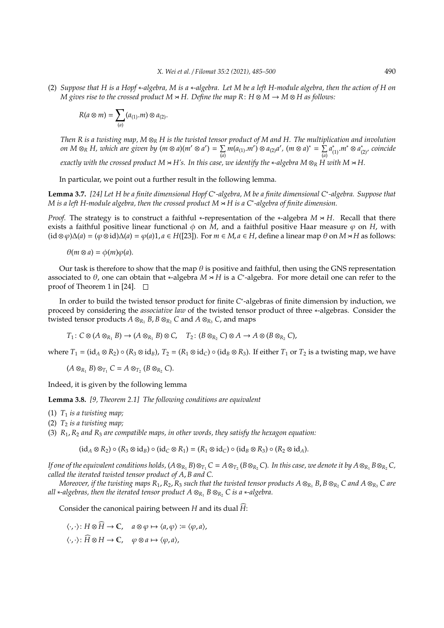(2) *Suppose that H is a Hopf* ∗*-algebra, M is a* ∗*-algebra. Let M be a left H-module algebra, then the action of H on M* gives rise to the crossed product  $M \times H$ . Define the map R:  $H \otimes M \to M \otimes H$  as follows:

$$
R(a\otimes m)=\sum_{(a)}(a_{(1)}.m)\otimes a_{(2)}.
$$

*Then R is a twisting map, M* ⊗*<sup>R</sup> H is the twisted tensor product of M and H. The multiplication and involution on M*  $\otimes_R H$ *, which are given by (m*  $\otimes$  *a*)(*m'*  $\otimes$  *a'*) =  $\sum$  $\sum_{(a)} m(a_{(1)}.m') \otimes a_{(2)}a'$ ,  $(m \otimes a)^* = \sum_{(a)}$ (*a*) *a* ∗ (1).*m*<sup>∗</sup> <sup>⊗</sup> *<sup>a</sup>* ∗ (2)*, coincide*

*exactly with the crossed product*  $M \times H$ 's. In this case, we identify the \*-algebra  $M \otimes_R H$  with  $M \times H$ .

In particular, we point out a further result in the following lemma.

**Lemma 3.7.** [24] Let H be a finite dimensional Hopf C<sup>∗</sup>-algebra, M be a finite dimensional C<sup>∗</sup>-algebra. Suppose that *M is a left H-module algebra, then the crossed product M* o *H is a C*<sup>∗</sup> *-algebra of finite dimension.*

*Proof.* The strategy is to construct a faithful ∗-representation of the ∗-algebra *M*  $\approx$  *H*. Recall that there exists a faithful positive linear functional  $\phi$  on  $\tilde{M}$ , and a faithful positive Haar measure  $\varphi$  on  $H$ , with  $(id \otimes \varphi) \Delta(a) = (\varphi \otimes id) \Delta(a) = \varphi(a) 1, a \in H(23]$ . For  $m \in M$ ,  $a \in H$ , define a linear map  $\theta$  on  $M \rtimes H$  as follows:

 $\theta$ (*m*  $\otimes$  *a*) =  $\phi$ (*m*) $\varphi$ (*a*).

Our task is therefore to show that the map  $\theta$  is positive and faithful, then using the GNS representation associated to  $\theta$ , one can obtain that \*-algebra  $M \times H$  is a C\*-algebra. For more detail one can refer to the proof of Theorem 1 in [24].  $\Box$ 

In order to build the twisted tensor product for finite *C* ∗ -algebras of finite dimension by induction, we proceed by considering the *associative law* of the twisted tensor product of three ∗-algebras. Consider the twisted tensor products  $A \otimes_{R_1} B$ ,  $B \otimes_{R_2} C$  and  $A \otimes_{R_3} C$ , and maps

 $T_1: C \otimes (A \otimes_{R_1} B) \to (A \otimes_{R_1} B) \otimes C$ ,  $T_2: (B \otimes_{R_2} C) \otimes A \to A \otimes (B \otimes_{R_2} C)$ ,

where  $T_1 = (id_A \otimes R_2) \circ (R_3 \otimes id_B)$ ,  $T_2 = (R_1 \otimes id_C) \circ (id_B \otimes R_3)$ . If either  $T_1$  or  $T_2$  is a twisting map, we have

 $(A \otimes_{R_1} B) \otimes_{T_1} C = A \otimes_{T_2} (B \otimes_{R_2} C).$ 

Indeed, it is given by the following lemma

**Lemma 3.8.** *[9, Theorem 2.1] The following conditions are equivalent*

- (1)  $T_1$  *is a twisting map*;
- (2) *T*<sup>2</sup> *is a twisting map;*

(3) *R*1,*R*<sup>2</sup> *and R*<sup>3</sup> *are compatible maps, in other words, they satisfy the hexagon equation:*

 $(id_A \otimes R_2) \circ (R_3 \otimes id_B) \circ (id_C \otimes R_1) = (R_1 \otimes id_C) \circ (id_B \otimes R_3) \circ (R_2 \otimes id_A).$ 

If one of the equivalent conditions holds,  $(A\otimes_{R_1} B)\otimes_{T_1} C=A\otimes_{T_2} (B\otimes_{R_2} C)$ . In this case, we denote it by  $A\otimes_{R_1} B\otimes_{R_2} C$ , *called the iterated twisted tensor product of A*, *B and C.*

*Moreover, if the twisting maps*  $R_1$ ,  $R_2$ ,  $R_3$  *such that the twisted tensor products*  $A \otimes_{R_1} B$ ,  $B \otimes_{R_2} C$  *and*  $A \otimes_{R_3} C$  *are all* ∗*-algebras, then the iterated tensor product*  $A \otimes_{R_1} B \otimes_{R_2} C$  *is a* ∗*-algebra.* 

Consider the canonical pairing between *H* and its dual  $\widehat{H}$ :

 $\langle \cdot, \cdot \rangle$ :  $H \otimes \widehat{H} \to \mathbb{C}$ ,  $a \otimes \varphi \mapsto \langle a, \varphi \rangle := \langle \varphi, a \rangle$ ,

 $\langle \cdot, \cdot \rangle$ :  $\widehat{H} \otimes H \to \mathbb{C}$ ,  $\varphi \otimes a \mapsto \langle \varphi, a \rangle$ ,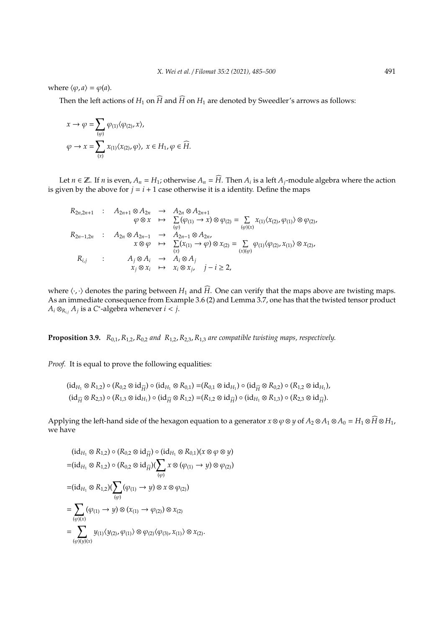where  $\langle \varphi, a \rangle = \varphi(a)$ .

Then the left actions of  $H_1$  on  $\widehat{H}$  and  $\widehat{H}$  on  $H_1$  are denoted by Sweedler's arrows as follows:

$$
\begin{aligned} x &\rightarrow \varphi = \sum_{(\varphi)} \varphi_{(1)} \langle \varphi_{(2)}, x \rangle, \\ \varphi &\rightarrow x = \sum_{(x)} x_{(1)} \langle x_{(2)}, \varphi \rangle, \; x \in H_1, \varphi \in \widehat{H}. \end{aligned}
$$

Let *n* ∈  $\mathbb{Z}$ . If *n* is even,  $A_n = H_1$ ; otherwise  $A_n = \widehat{H}$ . Then  $A_i$  is a left  $A_j$ -module algebra where the action is given by the above for  $j = i + 1$  case otherwise it is a identity. Define the maps

$$
R_{2n,2n+1} : A_{2n+1} \otimes A_{2n} \to A_{2n} \otimes A_{2n+1}
$$
  
\n
$$
\varphi \otimes x \mapsto \sum_{(\varphi)} (\varphi_{(1)} \to x) \otimes \varphi_{(2)} = \sum_{(\varphi)(x)} x_{(1)} \langle x_{(2)}, \varphi_{(1)} \rangle \otimes \varphi_{(2)},
$$
  
\n
$$
R_{2n-1,2n} : A_{2n} \otimes A_{2n-1} \to A_{2n-1} \otimes A_{2n},
$$
  
\n
$$
x \otimes \varphi \mapsto \sum_{(x)} (x_{(1)} \to \varphi) \otimes x_{(2)} = \sum_{(x)(\varphi)} \varphi_{(1)} \langle \varphi_{(2)}, x_{(1)} \rangle \otimes x_{(2)},
$$
  
\n
$$
R_{i,j} : A_j \otimes A_i \to A_i \otimes A_j
$$
  
\n
$$
x_j \otimes x_i \mapsto x_i \otimes x_j, j-i \ge 2,
$$

where  $\langle \cdot, \cdot \rangle$  denotes the paring between *H*<sub>1</sub> and  $\widehat{H}$ . One can verify that the maps above are twisting maps. As an immediate consequence from Example 3.6 (2) and Lemma 3.7, one has that the twisted tensor product  $A_i \otimes_{R_{i,j}} A_j$  is a *C*<sup>\*</sup>-algebra whenever  $i < j$ .

**Proposition 3.9.** *R*0,1,*R*1,2,*R*0,<sup>2</sup> *and R*1,2,*R*2,3,*R*1,<sup>3</sup> *are compatible twisting maps, respectively.*

*Proof.* It is equal to prove the following equalities:

$$
(\mathrm{id}_{H_1}\otimes R_{1,2})\circ (R_{0,2}\otimes \mathrm{id}_{\widehat{H}})\circ (\mathrm{id}_{H_1}\otimes R_{0,1}) = (R_{0,1}\otimes \mathrm{id}_{H_1})\circ (\mathrm{id}_{\widehat{H}}\otimes R_{0,2})\circ (R_{1,2}\otimes \mathrm{id}_{H_1}),
$$

$$
(\mathrm{id}_{\widehat{H}}\otimes R_{2,3})\circ (R_{1,3}\otimes \mathrm{id}_{H_1})\circ (\mathrm{id}_{\widehat{H}}\otimes R_{1,2}) = (R_{1,2}\otimes \mathrm{id}_{\widehat{H}})\circ (\mathrm{id}_{H_1}\otimes R_{1,3})\circ (R_{2,3}\otimes \mathrm{id}_{\widehat{H}}).
$$

Applying the left-hand side of the hexagon equation to a generator  $x \otimes \varphi \otimes y$  of  $A_2 \otimes A_1 \otimes A_0 = H_1 \otimes \widehat{H} \otimes H_1$ , we have

$$
(\mathrm{id}_{H_1} \otimes R_{1,2}) \circ (R_{0,2} \otimes \mathrm{id}_{\widehat{H}}) \circ (\mathrm{id}_{H_1} \otimes R_{0,1})(x \otimes \varphi \otimes y)
$$
\n
$$
= (\mathrm{id}_{H_1} \otimes R_{1,2}) \circ (R_{0,2} \otimes \mathrm{id}_{\widehat{H}}) (\sum_{(\varphi)} x \otimes (\varphi_{(1)} \to y) \otimes \varphi_{(2)})
$$
\n
$$
= (\mathrm{id}_{H_1} \otimes R_{1,2}) (\sum_{(\varphi)} (\varphi_{(1)} \to y) \otimes x \otimes \varphi_{(2)})
$$
\n
$$
= \sum_{(\varphi)(x)} (\varphi_{(1)} \to y) \otimes (x_{(1)} \to \varphi_{(2)}) \otimes x_{(2)}
$$
\n
$$
= \sum_{(\varphi)(y)(x)} y_{(1)} \langle y_{(2)}, \varphi_{(1)} \rangle \otimes \varphi_{(2)} \langle \varphi_{(3)}, x_{(1)} \rangle \otimes x_{(2)}.
$$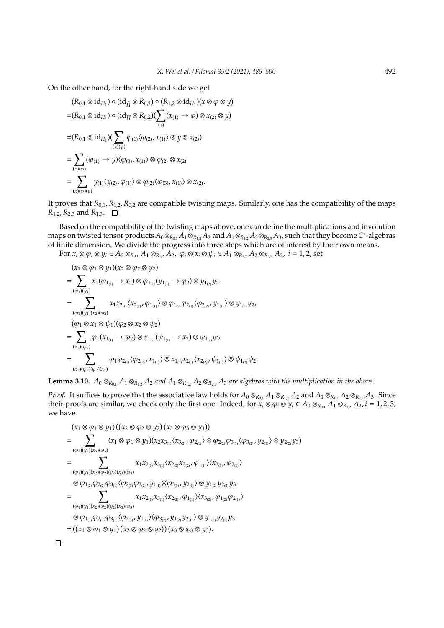On the other hand, for the right-hand side we get

$$
(R_{0,1} \otimes id_{H_1}) \circ (id_{\widehat{H}} \otimes R_{0,2}) \circ (R_{1,2} \otimes id_{H_1})(x \otimes \varphi \otimes y)
$$
  
=  $(R_{0,1} \otimes id_{H_1}) \circ (id_{\widehat{H}} \otimes R_{0,2})(\sum_{(x)} (x_{(1)} \rightarrow \varphi) \otimes x_{(2)} \otimes y)$   
=  $(R_{0,1} \otimes id_{H_1})(\sum_{(x)(\varphi)} \varphi_{(1)}\langle \varphi_{(2)}, x_{(1)} \rangle \otimes y \otimes x_{(2)})$   
=  $\sum_{(x)(\varphi)} (\varphi_{(1)} \rightarrow y) \langle \varphi_{(3)}, x_{(1)} \rangle \otimes \varphi_{(2)} \otimes x_{(2)}$   
=  $\sum_{(x)(\varphi)} y_{(1)} \langle y_{(2)}, \varphi_{(1)} \rangle \otimes \varphi_{(2)} \langle \varphi_{(3)}, x_{(1)} \rangle \otimes x_{(2)}$ .

It proves that *R*0,1,*R*1,2,*R*0,<sup>2</sup> are compatible twisting maps. Similarly, one has the compatibility of the maps  $R_{1,2}$ ,  $R_{2,3}$  and  $R_{1,3}$ .  $\Box$ 

Based on the compatibility of the twisting maps above, one can define the multiplications and involution maps on twisted tensor products *A*0⊗*<sup>R</sup>*0,<sup>1</sup> *A*1⊗*<sup>R</sup>*1,<sup>2</sup> *A*<sup>2</sup> and *A*1⊗*<sup>R</sup>*1,<sup>2</sup> *A*2⊗*<sup>R</sup>*2,<sup>3</sup> *A*3, such that they become *C* ∗ -algebras of finite dimension. We divide the progress into three steps which are of interest by their own means.

For  $x_i \otimes \varphi_i \otimes y_i \in A_0 \otimes_{R_{0,1}} A_1 \otimes_{R_{1,2}} A_2$ ,  $\varphi_i \otimes x_i \otimes \psi_i \in A_1 \otimes_{R_{1,2}} A_2 \otimes_{R_{2,3}} A_3$ ,  $i = 1, 2$ , set

$$
x_1 \otimes \varphi_1 \otimes y_1)(x_2 \otimes \varphi_2 \otimes y_2)
$$
  
= 
$$
\sum_{(\varphi_1)(y_1)} x_1(\varphi_{1_{(1)}} \to x_2) \otimes \varphi_{1_{(2)}}(y_{1_{(1)}} \to \varphi_2) \otimes y_{1_{(2)}}y_2
$$
  
= 
$$
\sum_{(\varphi_1)(y_1)(x_2)(\varphi_2)} x_1x_{2_{(1)}}\langle x_{2_{(2)}}, \varphi_{1_{(1)}}\rangle \otimes \varphi_{1_{(2)}}\varphi_{2_{(1)}}\langle \varphi_{2_{(2)}}, y_{1_{(1)}}\rangle \otimes y_{1_{(2)}}y_2,
$$
  
= 
$$
\sum_{(x_1)(\psi_1)} \varphi_1(x_{1_{(1)}} \to \varphi_2) \otimes x_{1_{(2)}}(\psi_{1_{(1)}} \to x_2) \otimes \psi_{1_{(2)}}\psi_2
$$
  
= 
$$
\sum_{(x_1)(\psi_1)(\varphi_2)(x_2)} \varphi_1\varphi_{2_{(1)}}\langle \varphi_{2_{(2)}}, x_{1_{(1)}}\rangle \otimes x_{1_{(2)}}x_{2_{(1)}}\langle x_{2_{(2)}}, \psi_{1_{(1)}}\rangle \otimes \psi_{1_{(2)}}\psi_2.
$$

**Lemma 3.10.**  $A_0 \otimes_{R_{0,1}} A_1 \otimes_{R_{1,2}} A_2$  *and*  $A_1 \otimes_{R_{1,2}} A_2 \otimes_{R_{2,3}} A_3$  *are algebras with the multiplication in the above.* 

*Proof.* It suffices to prove that the associative law holds for  $A_0 \otimes_{R_{0,1}} A_1 \otimes_{R_{1,2}} A_2$  and  $A_1 \otimes_{R_{1,2}} A_2 \otimes_{R_{2,3}} A_3$ . Since their proofs are similar, we check only the first one. Indeed, for  $x_i \otimes \varphi_i \otimes y_i \in A_0 \otimes_{R_{0,1}} A_1 \otimes_{R_{1,2}} A_2$ ,  $i = 1, 2, 3$ , we have

$$
x_1 \otimes \varphi_1 \otimes y_1)((x_2 \otimes \varphi_2 \otimes y_2)(x_3 \otimes \varphi_3 \otimes y_3))
$$
  
= 
$$
\sum_{(\varphi_2)(y_2)(x_3)(\varphi_3)} (x_1 \otimes \varphi_1 \otimes y_1)(x_2x_{3_{(1)}}\langle x_{3_{(2)}}, \varphi_{2_{(1)}}\rangle \otimes \varphi_{2_{(2)}}\varphi_{3_{(1)}}\langle \varphi_{3_{(2)}}, y_{2_{(1)}}\rangle \otimes y_{2_{(2)}}y_3)
$$
  
= 
$$
\sum_{(\varphi_1)(y_1)(x_2)(\varphi_2)(y_2)(x_3)(\varphi_3)} x_1x_{2_{(1)}}x_{3_{(1)}}\langle x_{2_{(2)}}x_{3_{(2)}}, \varphi_{1_{(1)}}\rangle\langle x_{3_{(3)}}, \varphi_{2_{(1)}}\rangle
$$
  

$$
\otimes \varphi_{1_{(2)}}\varphi_{2_{(2)}}\varphi_{3_{(1)}}\langle \varphi_{2_{(3)}}\varphi_{3_{(2)}}, y_{1_{(1)}}\rangle\langle \varphi_{3_{(3)}}, y_{2_{(1)}}\rangle \otimes y_{1_{(2)}}y_{2_{(2)}}y_3
$$
  
= 
$$
\sum_{(\varphi_1)(y_1)(x_2)(\varphi_2)(y_2)(x_3)(\varphi_3)} x_1x_{2_{(1)}}x_{3_{(1)}}\langle x_{2_{(2)}}, \varphi_{1_{(1)}}\rangle\langle x_{3_{(2)}}, \varphi_{1_{(2)}}\varphi_{2_{(1)}}\rangle
$$
  

$$
\otimes \varphi_{1_{(3)}}\varphi_{2_{(2)}}\varphi_{3_{(1)}}\langle \varphi_{2_{(3)}}, y_{1_{(1)}}\rangle\langle \varphi_{3_{(2)}}, y_{1_{(2)}}y_{2_{(1)}}\rangle \otimes y_{1_{(3)}}y_{2_{(2)}}y_3
$$
  
= 
$$
((x_1 \otimes \varphi_1 \otimes y_1)(x_2 \otimes \varphi_2 \otimes y_2))(x_3 \otimes \varphi_3 \otimes y_3).
$$

 $\Box$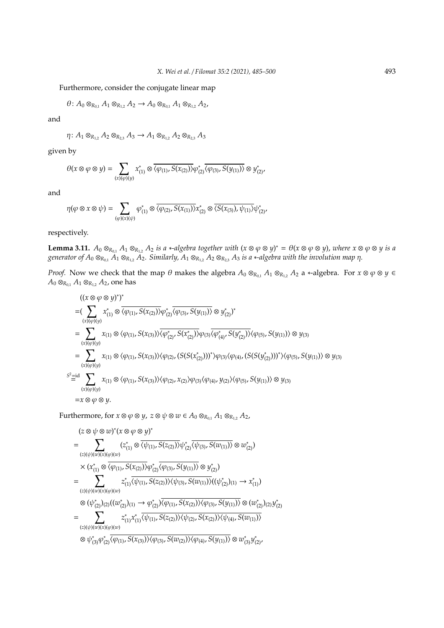Furthermore, consider the conjugate linear map

 $\theta$ :  $A_0 \otimes_{R_{0,1}} A_1 \otimes_{R_{1,2}} A_2 \rightarrow A_0 \otimes_{R_{0,1}} A_1 \otimes_{R_{1,2}} A_2$ 

and

$$
\eta: A_1 \otimes_{R_{1,2}} A_2 \otimes_{R_{2,3}} A_3 \to A_1 \otimes_{R_{1,2}} A_2 \otimes_{R_{2,3}} A_3
$$

given by

$$
\theta(x \otimes \varphi \otimes y) = \sum_{(x)(\varphi)(y)} x_{(1)}^* \otimes \overline{\langle \varphi_{(1)}, S(x_{(2)}) \rangle} \varphi_{(2)}^* \overline{\langle \varphi_{(3)}, S(y_{(1)}) \rangle} \otimes y_{(2)}^*,
$$

and

$$
\eta(\varphi\otimes x\otimes\psi)=\sum_{(\varphi)(x)(\psi)}\varphi_{(1)}^*\otimes\overline{\langle\varphi_{(2)},S(x_{(1)})\rangle}x_{(2)}^*\otimes\overline{\langle S(x_{(3)}),\psi_{(1)}\rangle}\psi_{(2)}^*,
$$

respectively.

**Lemma 3.11.**  $A_0 \otimes_{R_{0,1}} A_1 \otimes_{R_{1,2}} A_2$  *is a* ∗*-algebra together with*  $(x \otimes \varphi \otimes y)^* = \theta(x \otimes \varphi \otimes y)$ *, where*  $x \otimes \varphi \otimes y$  *is a*  $g$ enerator of  $A_0 \otimes_{R_{0,1}} A_1 \otimes_{R_{1,2}} A_2$ . Similarly,  $A_1 \otimes_{R_{1,2}} A_2 \otimes_{R_{2,3}} A_3$  is a ∗-algebra with the involution map  $\eta$ .

*Proof.* Now we check that the map  $\theta$  makes the algebra  $A_0 \otimes_{R_{0,1}} A_1 \otimes_{R_{1,2}} A_2$  a ∗-algebra. For  $x \otimes \varphi \otimes y \in R$ *A*<sup>0</sup> ⊗*R*<sub>0,1</sub></sub> *A*<sub>1</sub> ⊗*R*<sub>1,2</sub> *A*<sub>2</sub>, one has

$$
((x \otimes \varphi \otimes y)^*)^*
$$
\n
$$
= (\sum_{(x)(\varphi)(y)} x_{(1)}^* \otimes \overline{\langle \varphi_{(1)}, S(x_{(2)}) \rangle} \varphi_{(2)}^* \overline{\langle \varphi_{(3)}, S(y_{(1)}) \rangle} \otimes y_{(2)}^*)^*
$$
\n
$$
= \sum_{(x)(\varphi)(y)} x_{(1)} \otimes \langle \varphi_{(1)}, S(x_{(3)}) \rangle \overline{\langle \varphi_{(2)}^*, S(x_{(2)}^*) \rangle} \varphi_{(3)} \overline{\langle \varphi_{(4)}^*, S(y_{(2)}^*) \rangle} \langle \varphi_{(5)}, S(y_{(1)}) \rangle \otimes y_{(3)}
$$
\n
$$
= \sum_{(x)(\varphi)(y)} x_{(1)} \otimes \langle \varphi_{(1)}, S(x_{(3)}) \rangle \langle \varphi_{(2)}, (S(S(x_{(2)}^*)))^* \rangle \varphi_{(3)} \langle \varphi_{(4)}, (S(S(y_{(2)}^*)))^* \rangle \langle \varphi_{(5)}, S(y_{(1)}) \rangle \otimes y_{(3)}
$$
\n
$$
\stackrel{S^2 = id}{=} \sum_{(x)(\varphi)(y)} x_{(1)} \otimes \langle \varphi_{(1)}, S(x_{(3)}) \rangle \langle \varphi_{(2)}, x_{(2)} \rangle \varphi_{(3)} \langle \varphi_{(4)}, y_{(2)} \rangle \langle \varphi_{(5)}, S(y_{(1)}) \rangle \otimes y_{(3)}
$$
\n
$$
= x \otimes \varphi \otimes y.
$$

Furthermore, for  $x \otimes \varphi \otimes y$ ,  $z \otimes \psi \otimes w \in A_0 \otimes_{R_{0,1}} A_1 \otimes_{R_{1,2}} A_2$ ,

$$
(z \otimes \psi \otimes w)^*(x \otimes \varphi \otimes y)^* \n= \sum_{(z)(\psi)(w)(x)(\varphi)(w)} (z_{(1)} \otimes \overline{\langle \psi_{(1)}, S(z_{(2)}) \rangle} \psi_{(2)}^* \overline{\langle \psi_{(3)}, S(w_{(1)}) \rangle} \otimes w_{(2)}^*) \n\times (x_{(1)}^* \otimes \overline{\langle \varphi_{(1)}, S(x_{(2)}) \rangle} \varphi_{(2)}^* \overline{\langle \varphi_{(3)}, S(y_{(1)}) \rangle} \otimes y_{(2)}^*) \n= \sum_{(z)(\psi)(w)(x)(\varphi)(w)} z_{(1)}^* \overline{\langle \psi_{(1)}, S(z_{(2)}) \rangle} \overline{\langle \psi_{(3)}, S(w_{(1)}) \rangle} ((\psi_{(2)}^*)_{(1)} \rightarrow x_{(1)}^*) \n\otimes (\psi_{(2)}^*)_{(2)} ((w_{(2)}^*)_{(1)} \rightarrow \varphi_{(2)}^*) \overline{\langle \varphi_{(1)}, S(x_{(2)}) \rangle} \overline{\langle \varphi_{(3)}, S(y_{(1)}) \rangle} \otimes (w_{(2)}^*)_{(2)} y_{(2)}^* \n= \sum_{(z)(\psi)(w)(x)(\varphi)(w)} z_{(1)}^* x_{(1)}^* \overline{\langle \psi_{(1)}, S(z_{(2)}) \rangle} \overline{\langle \psi_{(2)}, S(x_{(2)}) \rangle} \overline{\langle \psi_{(4)}, S(w_{(1)}) \rangle} \n\otimes \psi_{(3)}^* \overline{\varphi_{(2)}^* \overline{\langle \varphi_{(1)}, S(x_{(3)}) \rangle} \overline{\langle \varphi_{(3)}, S(w_{(2)}) \rangle} \overline{\langle \varphi_{(4)}, S(y_{(1)}) \rangle} \otimes w_{(3)}^* y_{(2)}^*.
$$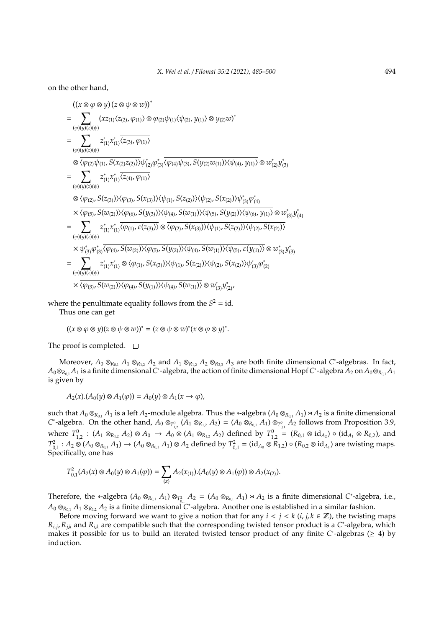on the other hand,

$$
((x \otimes \varphi \otimes y) (z \otimes \psi \otimes w))^{*}
$$
\n
$$
= \sum_{(\varphi)(y)(z)(\psi)} (xz_{(1)} \langle z_{(2)}, \varphi_{(1)} \rangle \otimes \varphi_{(2)} \psi_{(1)} \langle \psi_{(2)}, y_{(1)} \rangle \otimes y_{(2)} w)^{*}
$$
\n
$$
= \sum_{(\varphi)(y)(z)(\psi)} z_{(1)}^{*} x_{(1)}^{*} \overline{\langle z_{(3)}, \varphi_{(1)} \rangle}
$$
\n
$$
\otimes \overline{\langle \varphi_{(2)} \psi_{(1)}, S(x_{(2)} z_{(2)} ) \rangle} \psi_{(2)}^{*} \varphi_{(3)}^{*} \overline{\langle \varphi_{(4)} \psi_{(3)}, S(y_{(2)} w_{(1)}) \rangle} \langle \psi_{(4)}, y_{(1)} \rangle \otimes w_{(2)}^{*} y_{(3)}^{*}
$$
\n
$$
= \sum_{(\varphi)(y)(z)(\psi)} z_{(1)}^{*} x_{(1)}^{*} \overline{\langle z_{(4)}, \varphi_{(1)} \rangle}
$$
\n
$$
\otimes \overline{\langle \varphi_{(2)}, S(z_{(3)}) \rangle} \langle \varphi_{(3)}, S(x_{(3)}) \rangle \langle \psi_{(1)}, S(z_{(2)}) \rangle \langle \psi_{(2)}, S(x_{(2)}) \rangle \psi_{(3)}^{*} \varphi_{(4)}^{*}
$$
\n
$$
\times \overline{\langle \varphi_{(5)}, S(w_{(2)}) \rangle} \langle \varphi_{(6)}, S(y_{(3)}) \rangle \langle \psi_{(4)}, S(w_{(1)}) \rangle \langle \psi_{(5)}, S(y_{(2)}) \rangle \langle \psi_{(6)}, y_{(1)} \rangle \otimes w_{(3)}^{*} y_{(4)}^{*}
$$
\n
$$
= \sum_{(\varphi)(y)(z)(\psi)} z_{(1)}^{*} x_{(1)}^{*} x_{(1)}^{*} \overline{\langle \varphi_{(1)}, S(w_{(2)}) \rangle} \langle \varphi_{(5)}, S(y_{(2)}) \rangle \langle \psi_{(4)}, S(w_{(1)}) \rangle \langle \psi_{(5)}, \varepsilon(y_{(1)}) \rangle \otimes w_{(3)}^{*} y_{(3)}^{*}
$$
\n
$$
= \sum_{(\varphi)(y)(z)(\psi)} z_{(1)}^{*} x_{(1)}^{*
$$

where the penultimate equality follows from the  $S^2 = id$ . Thus one can get

$$
((x \otimes \varphi \otimes y)(z \otimes \psi \otimes w))^* = (z \otimes \psi \otimes w)^*(x \otimes \varphi \otimes y)^*.
$$

The proof is completed.  $\square$ 

Moreover,  $A_0 \otimes_{R_{0,1}} A_1 \otimes_{R_{1,2}} A_2$  and  $A_1 \otimes_{R_{1,2}} A_2 \otimes_{R_{2,3}} A_3$  are both finite dimensional *C*\*-algebras. In fact,  $A_0 \otimes_{R_{0,1}} A_1$  is a finite dimensional *C*\*-algebra, the action of finite dimensional Hopf *C*\*-algebra  $A_2$  on  $A_0 \otimes_{R_{0,1}} A_1$ is given by

$$
A_2(x).(A_0(y)\otimes A_1(\varphi))=A_0(y)\otimes A_1(x\to\varphi),
$$

such that  $A_0 \otimes_{R_{0,1}} A_1$  is a left  $A_2$ -module algebra. Thus the \*-algebra  $(A_0 \otimes_{R_{0,1}} A_1) \rtimes A_2$  is a finite dimensional *C*<sup>\*</sup>-algebra. On the other hand,  $A_0 \otimes_{T_{1,2}^0} (A_1 \otimes_{R_{1,2}} A_2) = (A_0 \otimes_{R_{0,1}} A_1) \otimes_{T_{0,1}^2} A_2$  follows from Proposition 3.9, where  $T_{1,2}^0$  :  $(A_1 \otimes_{R_{1,2}} A_2) \otimes A_0 \to A_0 \otimes (A_1 \otimes_{R_{1,2}} A_2)$  defined by  $T_{1,2}^0 = (R_{0,1} \otimes id_{A_2}) \circ (id_{A_1} \otimes R_{0,2})$ , and  $T_{0,1}^2$ :  $A_2 \otimes (A_0 \otimes_{R_{0,1}} A_1) \to (A_0 \otimes_{R_{0,1}} A_1) \otimes A_2$  defined by  $T_{0,1}^2 = (\text{id}_{A_0} \otimes R_{1,2}) \circ (R_{0,2} \otimes \text{id}_{A_1})$  are twisting maps. Specifically, one has

$$
T_{0,1}^2(A_2(x)\otimes A_0(y)\otimes A_1(\varphi))=\sum_{(x)}A_2(x_{(1)}).(A_0(y)\otimes A_1(\varphi))\otimes A_2(x_{(2)}).
$$

Therefore, the \*-algebra  $(A_0 \otimes_{R_{0,1}} A_1) \otimes_{T_{0,1}^2} A_2 = (A_0 \otimes_{R_{0,1}} A_1) \rtimes A_2$  is a finite dimensional *C*\*-algebra, i.e., *A*<sup>0</sup> ⊗*<sup>R</sup>*0,<sup>1</sup> *A*<sup>1</sup> ⊗*<sup>R</sup>*1,<sup>2</sup> *A*<sup>2</sup> is a finite dimensional *C* ∗ -algebra. Another one is established in a similar fashion.

Before moving forward we want to give a notion that for any  $i < j < k$  (*i*, *j*,  $k \in \mathbb{Z}$ ), the twisting maps  $R_{i,j}$ ,  $R_{j,k}$  and  $R_{i,k}$  are compatible such that the corresponding twisted tensor product is a *C*<sup>\*</sup>-algebra, which makes it possible for us to build an iterated twisted tensor product of any finite *C*\*-algebras (≥ 4) by induction.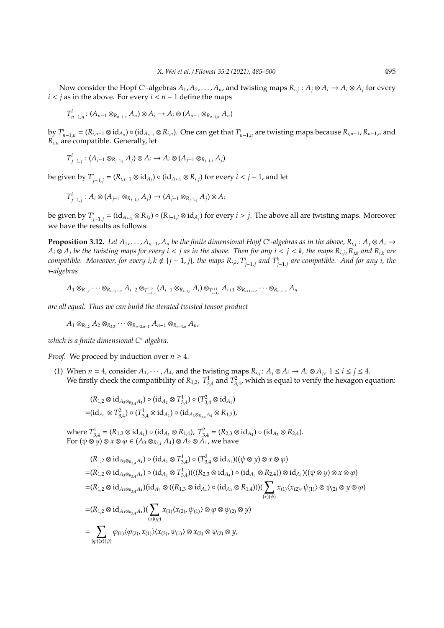Now consider the Hopf C<sup>\*</sup>-algebras  $A_1, A_2, ..., A_n$ , and twisting maps  $R_{i,j}: A_j \otimes A_i \to A_i \otimes A_j$  for every  $i < j$  as in the above. For every  $i < n - 1$  define the maps

$$
T_{n-1,n}^i\colon (A_{n-1}\otimes_{R_{n-1,n}}A_n)\otimes A_i\to A_i\otimes (A_{n-1}\otimes_{R_{n-1,n}}A_n)
$$

by  $T_{n-1,n}^i = (R_{i,n-1} \otimes id_{A_n}) \circ (id_{A_{n-1}} \otimes R_{i,n})$ . One can get that  $T_{n-1,n}^i$  are twisting maps because  $R_{i,n-1}, R_{n-1,n}$  and  $R$ <sub>*i*,*n*</sub> are compatible. Generally, let

$$
T^i_{j-1,j}:(A_{j-1}\otimes_{R_{j-1,j}}A_j)\otimes A_i\to A_i\otimes (A_{j-1}\otimes_{R_{j-1,j}}A_j)
$$

be given by  $T^i_{j-1,j} = (R_{i,j-1} \otimes id_{A_j}) \circ (id_{A_{j-1}} \otimes R_{i,j})$  for every  $i < j-1$ , and let

$$
T^i_{j-1,j}:A_i\otimes (A_{j-1}\otimes_{R_{j-1,j}}A_j)\to (A_{j-1}\otimes_{R_{j-1,j}}A_j)\otimes A_i
$$

be given by  $T^i_{j-1,j} = (\mathrm{id}_{A_{j-1}} \otimes R_{j,i}) \circ (R_{j-1,i} \otimes \mathrm{id}_{A_j})$  for every  $i > j$ . The above all are twisting maps. Moreover we have the results as follows:

**Proposition 3.12.** Let  $A_1, \ldots, A_{n-1}, A_n$  be the finite dimensional Hopf C<sup>\*</sup>-algebras as in the above,  $R_{i,j}: A_j \otimes A_i \to$  $A_i\otimes A_j$  be the twisting maps for every  $i< j$  as in the above. Then for any  $i< j< k$ , the maps  $R_{i,j}$ ,  $R_{j,k}$  and  $R_{i,k}$  are compatible. Moreover, for every  $i, k \notin \{j-1, j\}$ , the maps  $R_{i,k}$ ,  $T^i_{j-1,j}$  and  $T^k_{j-1,j}$  are compatible. And for any i, the ∗*-algebras*

$$
A_1\otimes_{R_{1,2}}\cdots \otimes_{R_{i-3,i-2}}A_{i-2}\otimes_{T_{i-1,i}^{i-2}}(A_{i-1}\otimes_{R_{i-1,i}}A_i)\otimes_{T_{i-1,i}^{i+1}}A_{i+1}\otimes_{R_{i+1,i+2}}\cdots \otimes_{R_{n-1,n}}A_n
$$

*are all equal. Thus we can build the iterated twisted tensor product*

 $A_1 \otimes_{R_{1,2}} A_2 \otimes_{R_{2,3}} \cdots \otimes_{R_{n-2,n-1}} A_{n-1} \otimes_{R_{n-1,n}} A_n$ 

*which is a finite dimensional C*<sup>∗</sup> *-algebra.*

*Proof.* We proceed by induction over  $n \geq 4$ .

(1) When  $n = 4$ , consider  $A_1, \dots, A_4$ , and the twisting maps  $R_{i,j}: A_j \otimes A_i \to A_i \otimes A_j$ ,  $1 \le i \le j \le 4$ . We firstly check the compatibility of  $R_{1,2}$ ,  $T_{3,4}^1$  and  $T_{3,4}^2$ , which is equal to verify the hexagon equation:

$$
(R_{1,2} \otimes id_{A_3 \otimes_{R_{3,4}} A_4}) \circ (id_{A_2} \otimes T_{3,4}^1) \circ (T_{3,4}^2 \otimes id_{A_1})
$$
  
= $(id_{A_1} \otimes T_{3,4}^2) \circ (T_{3,4}^1 \otimes id_{A_2}) \circ (id_{A_3 \otimes_{R_{3,4}} A_4} \otimes R_{1,2}),$ 

where  $T_{3,4}^1 = (R_{1,3} \otimes id_{A_4}) \circ (id_{A_3} \otimes R_{1,4}), T_{3,4}^2 = (R_{2,3} \otimes id_{A_4}) \circ (id_{A_3} \otimes R_{2,4}).$ For  $(\psi \otimes \psi) \otimes x \otimes \varphi \in (A_3 \otimes_{R_{3,4}} A_4) \otimes A_2 \otimes A_1^{\prime}$ , we have

$$
(R_{1,2}\otimes id_{A_3\otimes_{R_{3,4}}A_4}) \circ (id_{A_2}\otimes T_{3,4}^1) \circ (T_{3,4}^2\otimes id_{A_1})((\psi\otimes y)\otimes x\otimes \varphi)
$$
  
\n=  $(R_{1,2}\otimes id_{A_3\otimes_{R_{3,4}}A_4}) \circ (id_{A_2}\otimes T_{3,4}^1)((R_{2,3}\otimes id_{A_4}) \circ (id_{A_3}\otimes R_{2,4})) \otimes id_{A_1})((\psi\otimes y)\otimes x\otimes \varphi)$   
\n=  $(R_{1,2}\otimes id_{A_3\otimes_{R_{3,4}}A_4})(id_{A_2}\otimes ((R_{1,3}\otimes id_{A_4}) \circ (id_{A_3}\otimes R_{1,4})))(\sum_{(x)(\psi)} x_{(1)}\langle x_{(2)}, \psi_{(1)}\rangle \otimes \psi_{(2)} \otimes y\otimes \varphi)$   
\n=  $(R_{1,2}\otimes id_{A_3\otimes_{R_{3,4}}A_4})(\sum_{(x)(\psi)} x_{(1)}\langle x_{(2)}, \psi_{(1)}\rangle \otimes \varphi \otimes \psi_{(2)} \otimes y)$   
\n=  $\sum_{(\varphi)(x)(\psi)} \varphi_{(1)}\langle \varphi_{(2)}, x_{(1)}\rangle\langle x_{(3)}, \psi_{(1)}\rangle \otimes x_{(2)} \otimes \psi_{(2)} \otimes y,$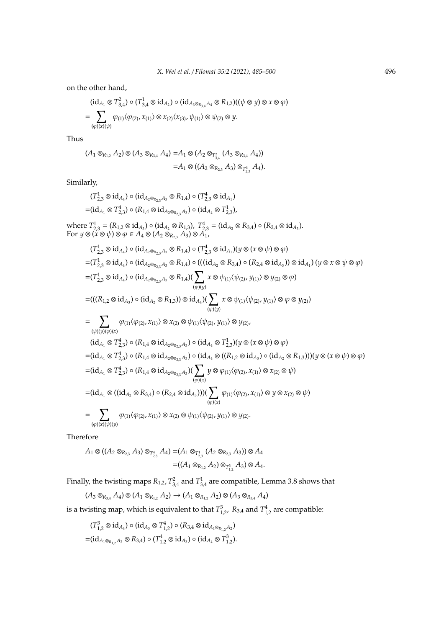on the other hand,

$$
(\mathrm{id}_{A_1} \otimes T_{3,4}^2) \circ (T_{3,4}^1 \otimes \mathrm{id}_{A_2}) \circ (\mathrm{id}_{A_3 \otimes_{R_{3,4}} A_4} \otimes R_{1,2})((\psi \otimes y) \otimes x \otimes \varphi)
$$
  
= 
$$
\sum_{(\varphi)(x)(\psi)} \varphi_{(1)} \langle \varphi_{(2)}, x_{(1)} \rangle \otimes x_{(2)} \langle x_{(3)}, \psi_{(1)} \rangle \otimes \psi_{(2)} \otimes y.
$$

Thus

$$
(A_1 \otimes_{R_{1,2}} A_2) \otimes (A_3 \otimes_{R_{3,4}} A_4) = A_1 \otimes (A_2 \otimes_{T_{3,4}^2} (A_3 \otimes_{R_{3,4}} A_4))
$$
  
=  $A_1 \otimes ((A_2 \otimes_{R_{2,3}} A_3) \otimes_{T_{2,3}^4} A_4).$ 

Similarly,

$$
(T_{2,3}^1 \otimes id_{A_4}) \circ (id_{A_2 \otimes_{R_{2,3}} A_3} \otimes R_{1,4}) \circ (T_{2,3}^4 \otimes id_{A_1})
$$
  
= $(id_{A_1} \otimes T_{2,3}^4) \circ (R_{1,4} \otimes id_{A_2 \otimes_{R_{2,3}} A_3}) \circ (id_{A_4} \otimes T_{2,3}^1),$ 

where  $T_{2,3}^1 = (R_{1,2} \otimes id_{A_3}) \circ (id_{A_2} \otimes R_{1,3}), T_{2,3}^4 = (id_{A_2} \otimes R_{3,4}) \circ (R_{2,4} \otimes id_{A_3}).$  $\text{For } y \otimes (\mathbf{x} \otimes \psi) \otimes \varphi \in A_4 \otimes (A_2 \otimes_{R_{2,3}} A_3) \otimes \mathbf{A}_1$ 

$$
(T_{2,3}^{1} \otimes id_{A_{4}}) \circ (id_{A_{2} \otimes_{R_{2,3}} A_{3}} \otimes R_{1,4}) \circ (T_{2,3}^{4} \otimes id_{A_{1}}) (y \otimes (x \otimes \psi) \otimes \varphi)
$$
  
\n
$$
= (T_{2,3}^{1} \otimes id_{A_{4}}) \circ (id_{A_{2} \otimes_{R_{2,3}} A_{3}} \otimes R_{1,4}) \circ (((id_{A_{2}} \otimes R_{3,4}) \circ (R_{2,4} \otimes id_{A_{3}})) \otimes id_{A_{1}}) (y \otimes x \otimes \psi \otimes \varphi)
$$
  
\n
$$
= (T_{2,3}^{1} \otimes id_{A_{4}}) \circ (id_{A_{2} \otimes_{R_{2,3}} A_{3}} \otimes R_{1,4}) \left(\sum_{(\psi)(y)} x \otimes \psi_{(1)} \langle \psi_{(2)}, y_{(1)} \rangle \otimes y_{(2)} \otimes \varphi\right)
$$
  
\n
$$
= (((R_{1,2} \otimes id_{A_{3}}) \circ (id_{A_{2}} \otimes R_{1,3})) \otimes id_{A_{4}}) \left(\sum_{(\psi)(y)} x \otimes \psi_{(1)} \langle \psi_{(2)}, y_{(1)} \rangle \otimes \varphi \otimes y_{(2)}\right)
$$
  
\n
$$
= \sum_{(\psi)(y)(\varphi)(x)} \varphi_{(1)} \langle \varphi_{(2)}, x_{(1)} \rangle \otimes x_{(2)} \otimes \psi_{(1)} \langle \psi_{(2)}, y_{(1)} \rangle \otimes y_{(2)},
$$
  
\n
$$
(id_{A_{1}} \otimes T_{2,3}^{4}) \circ (R_{1,4} \otimes id_{A_{2} \otimes_{R_{2,3}} A_{3}}) \circ (id_{A_{4}} \otimes T_{2,3}^{1}) (y \otimes (x \otimes \psi) \otimes \varphi)
$$
  
\n
$$
= (id_{A_{1}} \otimes T_{2,3}^{4}) \circ (R_{1,4} \otimes id_{A_{2} \otimes_{R_{2,3}} A_{3}}) \circ (id_{A_{4}} \otimes ((R_{1,2} \otimes id_{A_{3}})) \circ (id_{A_{2}} \otimes R_{1,3})))(y \otimes (x \
$$

Therefore

$$
A_1 \otimes ((A_2 \otimes_{R_{2,3}} A_3) \otimes_{T_{2,3}^4} A_4) = (A_1 \otimes_{T_{2,3}^1} (A_2 \otimes_{R_{2,3}} A_3)) \otimes A_4
$$
  
= 
$$
((A_1 \otimes_{R_{1,2}} A_2) \otimes_{T_{1,2}^3} A_3) \otimes A_4.
$$

Finally, the twisting maps  $R_{1,2}$ ,  $T_{3,4}^2$  and  $T_{3,4}^1$  are compatible, Lemma 3.8 shows that

$$
(A_3 \otimes_{R_{3,4}} A_4) \otimes (A_1 \otimes_{R_{1,2}} A_2) \to (A_1 \otimes_{R_{1,2}} A_2) \otimes (A_3 \otimes_{R_{3,4}} A_4)
$$

is a twisting map, which is equivalent to that  $T_{1,2}^3$ ,  $R_{3,4}$  and  $T_{1,2}^4$  are compatible:

$$
(T_{1,2}^3 \otimes id_{A_4}) \circ (id_{A_3} \otimes T_{1,2}^4) \circ (R_{3,4} \otimes id_{A_1 \otimes_{R_{1,2}} A_2})
$$
  
= $(id_{A_1 \otimes_{R_{1,2}} A_2} \otimes R_{3,4}) \circ (T_{1,2}^4 \otimes id_{A_3}) \circ (id_{A_4} \otimes T_{1,2}^3).$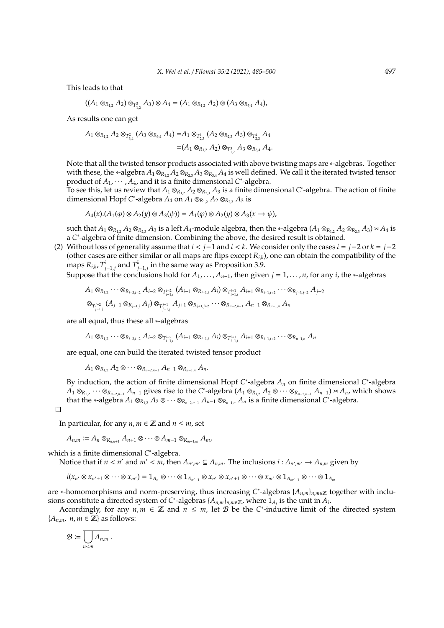This leads to that

$$
((A_1 \otimes_{R_{1,2}} A_2) \otimes_{T_{1,2}^3} A_3) \otimes A_4 = (A_1 \otimes_{R_{1,2}} A_2) \otimes (A_3 \otimes_{R_{3,4}} A_4),
$$

As results one can get

$$
A_1 \otimes_{R_{1,2}} A_2 \otimes_{T_{3,4}^2} (A_3 \otimes_{R_{3,4}} A_4) = A_1 \otimes_{T_{2,3}^1} (A_2 \otimes_{R_{2,3}} A_3) \otimes_{T_{2,3}^4} A_4
$$
  
=  $(A_1 \otimes_{R_{1,2}} A_2) \otimes_{T_{1,2}^3} A_3 \otimes_{R_{3,4}} A_4.$ 

Note that all the twisted tensor products associated with above twisting maps are ∗-algebras. Together with these, the \*-algebra  $A_1 \otimes_{R_1} A_2 \otimes_{R_2} A_3 \otimes_{R_3} A_4$  is well defined. We call it the iterated twisted tensor product of  $A_1, \dots, A_4$ , and it is a finite dimensional *C*<sup>\*</sup>-algebra.

To see this, let us review that  $A_1 \otimes_{R_{1,2}} A_2 \otimes_{R_{2,3}} A_3$  is a finite dimensional C<sup>\*</sup>-algebra. The action of finite dimensional Hopf *C*<sup>\*</sup>-algebra  $A_4$  on  $A_1 \otimes_{R_{1,2}} A_2 \otimes_{R_{2,3}} A_3$  is

$$
A_4(x). (A_1(\varphi) \otimes A_2(y) \otimes A_3(\psi)) = A_1(\varphi) \otimes A_2(y) \otimes A_3(x \to \psi),
$$

such that  $A_1 \otimes_{R_{1,2}} A_2 \otimes_{R_{2,3}} A_3$  is a left  $A_4$ -module algebra, then the \*-algebra  $(A_1 \otimes_{R_{1,2}} A_2 \otimes_{R_{2,3}} A_3) \rtimes A_4$  is a C<sup>\*</sup>-algebra of finite dimension. Combining the above, the desired result is obtained.

(2) Without loss of generality assume that *i* < *j*−1 and *i* < *k*. We consider only the cases *i* = *j*−2 or *k* = *j*−2 (other cases are either similar or all maps are flips except *Ri*,*k*), one can obtain the compatibility of the maps  $R_{i,k}$ ,  $T^i_{j-1,j}$  and  $T^k_{j-1,j}$  in the same way as Proposition 3.9.

Suppose that the conclusions hold for  $A_1, \ldots, A_{n-1}$ , then given  $j = 1, \ldots, n$ , for any *i*, the ∗-algebras

$$
A_1 \otimes_{R_{1,2}} \cdots \otimes_{R_{i-3,i-2}} A_{i-2} \otimes_{T_{i-1,i}^{i-2}} (A_{i-1} \otimes_{R_{i-1,i}} A_i) \otimes_{T_{i-1,i}^{i+1}} A_{i+1} \otimes_{R_{i+1,i+2}} \cdots \otimes_{R_{j-3,j-2}} A_{j-2}
$$

$$
\otimes_{T_{j-1,j}^{j-2}} (A_{j-1} \otimes_{R_{j-1,j}} A_j) \otimes_{T_{j-1,j}^{j+1}} A_{j+1} \otimes_{R_{j+1,j+2}} \cdots \otimes_{R_{n-2,n-1}} A_{n-1} \otimes_{R_{n-1,n}} A_n
$$

are all equal, thus these all ∗-algebras

 $A_1\otimes_{R_{1,2}}\cdots\otimes_{R_{i-3,i-2}}A_{i-2}\otimes_{T_{i-1,i}^{i-2}}(A_{i-1}\otimes_{R_{i-1,i}}A_i)\otimes_{T_{i-1,i}^{i+1}}A_{i+1}\otimes_{R_{i+1,i+2}}\cdots\otimes_{R_{n-1,n}}A_n$ 

are equal, one can build the iterated twisted tensor product

 $A_1 \otimes_{R_1} A_2 \otimes \cdots \otimes_{R_{n-2,n-1}} A_{n-1} \otimes_{R_{n-1,n}} A_n$ .

By induction, the action of finite dimensional Hopf *C*<sup>\*</sup>-algebra  $A_n$  on finite dimensional *C*<sup>\*</sup>-algebra  $A_1 \otimes_{R_{1,2}} \cdots \otimes_{R_{n-2,n-1}} A_{n-1}$  gives rise to the C\*-algebra  $(A_1 \otimes_{R_{1,2}} A_2 \otimes \cdots \otimes_{R_{n-2,n-1}} A_{n-1}) \rtimes A_n$ , which shows that the ∗-algebra  $A_1 \otimes_{R_{1,2}} A_2 \otimes \cdots \otimes_{R_{n-2,n-1}} A_{n-1} \otimes_{R_{n-1,n}} A_n$  is a finite dimensional *C*\*-algebra.

 $\Box$ 

In particular, for any  $n, m \in \mathbb{Z}$  and  $n \leq m$ , set

$$
A_{n,m} := A_n \otimes_{R_{n,n+1}} A_{n+1} \otimes \cdots \otimes A_{m-1} \otimes_{R_{m-1,m}} A_m,
$$

which is a finite dimensional *C* ∗ -algebra.

Notice that if  $n < n'$  and  $m' < m$ , then  $A_{n',m'} \subseteq A_{n,m}$ . The inclusions  $i : A_{n',m'} \to A_{n,m}$  given by

$$
i(x_{n'} \otimes x_{n'+1} \otimes \cdots \otimes x_{m'}) = 1_{A_n} \otimes \cdots \otimes 1_{A_{n'-1}} \otimes x_{n'} \otimes x_{n'+1} \otimes \cdots \otimes x_{m'} \otimes 1_{A_{m'+1}} \otimes \cdots \otimes 1_{A_m}
$$

are \*-homomorphisms and norm-preserving, thus increasing *C*<sup>\*</sup>-algebras { $A_{n,m}$ }<sub>*n*,*m*∈z together with inclu-</sub> sions constitute a directed system of *C*<sup>\*</sup>-algebras { $A_{n,m}$ }<sub>*n*,*m*∈Z, where  $1_{A_i}$  is the unit in  $\overline{A_i}$ .</sub>

Accordingly, for any  $n, m \in \mathbb{Z}$  and  $n \leq m$ , let B be the *C*<sup>\*</sup>-inductive limit of the directed system  ${A_{n,m}, n,m \in \mathbb{Z}}$  as follows:

$$
\mathcal{B} \coloneqq \overline{\bigcup_{n < m} A_{n,m}}.
$$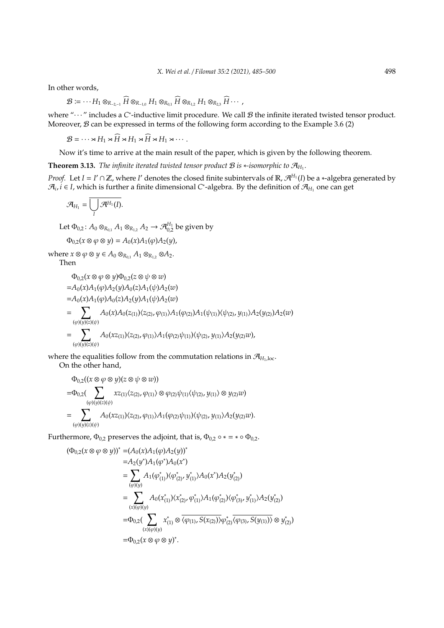In other words,

$$
\mathcal{B} \coloneqq \cdots H_1 \otimes_{R_{-2,-1}} \widehat{H} \otimes_{R_{-1,0}} H_1 \otimes_{R_{0,1}} \widehat{H} \otimes_{R_{1,2}} H_1 \otimes_{R_{2,3}} \widehat{H} \cdots,
$$

where "···" includes a C<sup>\*</sup>-inductive limit procedure. We call *B* the infinite iterated twisted tensor product. Moreover,  $B$  can be expressed in terms of the following form according to the Example 3.6 (2)

 $\mathcal{B} = \cdots \times H_1 \times \widehat{H} \times H_1 \times \widehat{H} \times H_1 \times \cdots$ .

Now it's time to arrive at the main result of the paper, which is given by the following theorem.

**Theorem 3.13.** *The infinite iterated twisted tensor product*  $B$  *is* \*-*isomorphic to*  $\mathcal{A}_{H_1}$ *.* 

*Proof.* Let *I* = *I'*  $\cap$  **Z**, where *I'* denotes the closed finite subintervals of **R**,  $\mathcal{A}^{H_1}(I)$  be a \*-algebra generated by  $\mathcal{A}_i$ ,  $i$  ∈ *I*, which is further a finite dimensional C<sup>\*</sup>-algebra. By the definition of  $\mathcal{A}_{H_1}$  one can get

$$
\mathcal{A}_{H_1}=\overline{\bigcup_I \mathcal{A}^{H_1}(I)}.
$$

Let  $\Phi_{0,2}\colon A_0\otimes_{R_{0,1}} A_1\otimes_{R_{1,2}} A_2\to \mathcal{A}_{0,2}^{H_1}$  be given by

$$
\Phi_{0,2}(x\otimes \varphi \otimes y) = A_0(x)A_1(\varphi)A_2(y),
$$

where  $x \otimes \varphi \otimes y \in A_0 \otimes_{R_{0,1}} A_1 \otimes_{R_{1,2}} \otimes A_2$ .

Then

$$
\Phi_{0,2}(x \otimes \varphi \otimes y)\Phi_{0,2}(z \otimes \psi \otimes w)
$$
\n
$$
= A_0(x)A_1(\varphi)A_2(y)A_0(z)A_1(\psi)A_2(w)
$$
\n
$$
= A_0(x)A_1(\varphi)A_0(z)A_2(y)A_1(\psi)A_2(w)
$$
\n
$$
= \sum_{(\varphi)(y)(z)(\psi)} A_0(x)A_0(z_{(1)})\langle z_{(2)}, \varphi_{(1)}\rangle A_1(\varphi_{(2)})A_1(\psi_{(1)})\langle \psi_{(2)}, y_{(1)}\rangle A_2(y_{(2)})A_2(w)
$$
\n
$$
= \sum_{(\varphi)(y)(z)(\psi)} A_0(xz_{(1)})\langle z_{(2)}, \varphi_{(1)}\rangle A_1(\varphi_{(2)}\psi_{(1)})\langle \psi_{(2)}, y_{(1)}\rangle A_2(y_{(2)}w),
$$

where the equalities follow from the commutation relations in  $\mathcal{A}_{H_1,\text{loc}}$ . On the other hand,

$$
\begin{aligned} & \Phi_{0,2}((x\otimes\varphi\otimes y)(z\otimes\psi\otimes w)) \\ =& \Phi_{0,2}(\sum_{(\varphi)(y)(z)(\psi)} x z_{(1)} \langle z_{(2)}, \varphi_{(1)} \rangle \otimes \varphi_{(2)} \psi_{(1)} \langle \psi_{(2)}, y_{(1)} \rangle \otimes y_{(2)} w) \\ =& \sum_{(\varphi)(y)(z)(\psi)} A_0(x z_{(1)}) \langle z_{(2)}, \varphi_{(1)} \rangle A_1(\varphi_{(2)} \psi_{(1)}) \langle \psi_{(2)}, y_{(1)} \rangle A_2(y_{(2)} w). \end{aligned}
$$

Furthermore,  $\Phi_{0,2}$  preserves the adjoint, that is,  $\Phi_{0,2} \circ * = * \circ \Phi_{0,2}$ .

$$
\begin{split} (\Phi_{0,2}(x \otimes \varphi \otimes y))^{*} &= (A_{0}(x)A_{1}(\varphi)A_{2}(y))^{*} \\ &= A_{2}(y^{*})A_{1}(\varphi^{*})A_{0}(x^{*}) \\ &= \sum_{(\varphi)(y)} A_{1}(\varphi_{(1)}^{*})\langle \varphi_{(2)}^{*}, y_{(1)}^{*} \rangle A_{0}(x^{*})A_{2}(y_{(2)}^{*}) \\ &= \sum_{(x)(\varphi)(y)} A_{0}(x_{(1)}^{*})\langle x_{(2)}^{*}, \varphi_{(1)}^{*} \rangle A_{1}(\varphi_{(2)}^{*})\langle \varphi_{(3)}^{*}, y_{(1)}^{*} \rangle A_{2}(y_{(2)}^{*}) \\ &= \Phi_{0,2}(\sum_{(x)(\varphi)(y)} x_{(1)}^{*} \otimes \overline{\langle \varphi_{(1)}, S(x_{(2)}) \rangle} \varphi_{(2)}^{*} \overline{\langle \varphi_{(3)}, S(y_{(1)}) \rangle} \otimes y_{(2)}^{*}) \\ &= \Phi_{0,2}(x \otimes \varphi \otimes y)^{*} . \end{split}
$$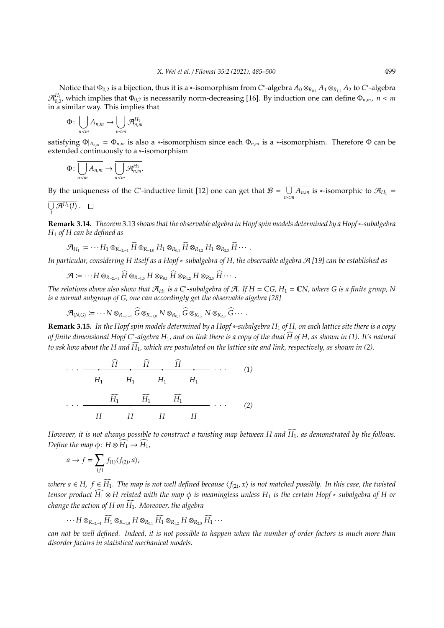Notice that Φ0,<sup>2</sup> is a bijection, thus it is a ∗-isomorphism from *C* ∗ -algebra *A*<sup>0</sup> ⊗*<sup>R</sup>*0,<sup>1</sup> *A*<sup>1</sup> ⊗*<sup>R</sup>*1,<sup>2</sup> *A*<sup>2</sup> to *C* ∗ -algebra  $\mathcal{A}_{0,2}^{H_1}$ , which implies that  $\Phi_{0,2}$  is necessarily norm-decreasing [16]. By induction one can define  $\Phi_{n,m}$ ,  $n < m$ in a similar way. This implies that

$$
\Phi\colon \bigcup_{n
$$

satisfying  $\Phi|_{A_{n,m}} = \Phi_{n,m}$  is also a \*-isomorphism since each  $\Phi_{n,m}$  is a \*-isomorphism. Therefore  $\Phi$  can be extended continuously to a ∗-isomorphism

$$
\Phi\colon \overline{\bigcup_{n
$$

By the uniqueness of the *C*<sup>\*</sup>-inductive limit [12] one can get that  $B = \overline{ \bigcup}$  $\overline{\bigcup_{n \le m} A_{n,m}}$  is ∗-isomorphic to  $\mathcal{A}_{H_1}$  =

$$
\overline{\bigcup_I{\mathcal{A}}^{H_1}(I)}\ .\quad \Box
$$

**Remark 3.14.** *Theorem* 3.13 *shows that the observable algebra in Hopf spin models determined by a Hopf*∗*-subalgebra H*<sup>1</sup> *of H can be defined as*

$$
\mathcal{A}_{H_1} \coloneqq \cdots H_1 \otimes_{R_{-2,-1}} \widehat{H} \otimes_{R_{-1,0}} H_1 \otimes_{R_{0,1}} \widehat{H} \otimes_{R_{1,2}} H_1 \otimes_{R_{2,3}} \widehat{H} \cdots
$$

*In particular, considering H itself as a Hopf* ∗*-subalgebra of H, the observable algebra* A *[19] can be established as*

$$
\mathcal{A} \coloneqq \cdots H \otimes_{R_{-2,-1}} \widehat{H} \otimes_{R_{-1,0}} H \otimes_{R_{0,1}} \widehat{H} \otimes_{R_{1,2}} H \otimes_{R_{2,3}} \widehat{H} \cdots
$$

*The relations above also show that*  $\mathcal{A}_{H_1}$  *is a* C<sup>∗</sup>-subalgebra of  $\mathcal{A}$ *.* If  $H = \mathbb{C}G$ *,*  $H_1 = \mathbb{C}N$ *, where* G *is a finite group*, N *is a normal subgroup of G, one can accordingly get the observable algebra [28]*

$$
\mathcal{A}_{(N,G)} \coloneqq \cdots N \otimes_{R_{-2,-1}} \widehat{G} \otimes_{R_{-1,0}} N \otimes_{R_{0,1}} \widehat{G} \otimes_{R_{1,2}} N \otimes_{R_{2,3}} \widehat{G} \cdots
$$

**Remark 3.15.** *In the Hopf spin models determined by a Hopf* ∗*-subalgebra H*<sup>1</sup> *of H, on each lattice site there is a copy of finite dimensional Hopf C*<sup>∗</sup> *-algebra H*1*, and on link there is a copy of the dual H of H, as shown in (1). It's natural* b *to ask how about the H and*  $\widehat{H_1}$ , which are postulated on the lattice site and link, respectively, as shown in (2).

$$
\cdots \longrightarrow \begin{array}{c}\n\widehat{H} & \widehat{H} & \widehat{H} \\
H_1 & H_1 & H_1 & H_1\n\end{array}
$$
\n
$$
\cdots \longrightarrow \begin{array}{c}\n\widehat{H_1} & \widehat{H_1} & \widehat{H_1} \\
H_1 & H_1 & H_1\n\end{array}
$$
\n
$$
\cdots \longrightarrow \begin{array}{c}\n\widehat{H_1} & \widehat{H_1} & \widehat{H_1} \\
H_1 & H_1 & H_1\n\end{array}
$$
\n
$$
(1)
$$

*However, it is not always possible to construct a twisting map between H and*  $\widehat{H_1}$ *, as demonstrated by the follows. Define the map*  $\phi$ :  $H \otimes \widehat{H_1} \rightarrow \widehat{H_1}$ ,

$$
a \to f = \sum_{(f)} f_{(1)} \langle f_{(2)}, a \rangle,
$$

*where a* ∈ *H*,  $f$  ∈  $\widehat{H_1}$ . The map is not well defined because  $\langle f_{(2)}, x \rangle$  is not matched possibly. In this case, the twisted *tensor product*  $\widehat{H_1} \otimes H$  related with the map  $\phi$  is meaningless unless  $H_1$  is the certain Hopf ∗-subalgebra of H or *change the action of H on*  $\widehat{H_1}$ *. Moreover, the algebra* 

$$
\cdots H \otimes_{R_{-2,-1}} \widehat{H_1} \otimes_{R_{-1,0}} H \otimes_{R_{0,1}} \widehat{H_1} \otimes_{R_{1,2}} H \otimes_{R_{2,3}} \widehat{H_1} \cdots
$$

*can not be well defined. Indeed, it is not possible to happen when the number of order factors is much more than disorder factors in statistical mechanical models.*